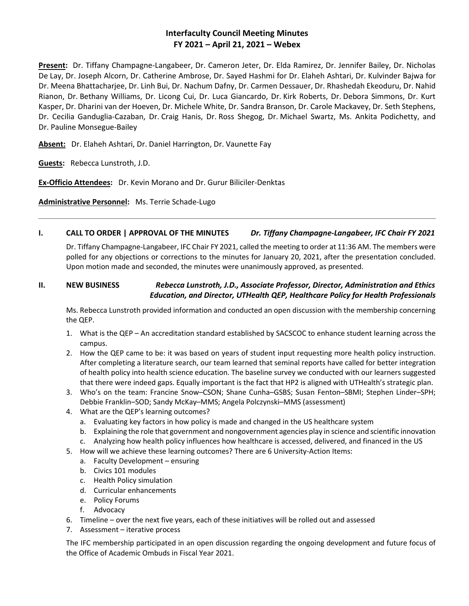# **Interfaculty Council Meeting Minutes FY 2021 – April 21, 2021 – Webex**

**Present:** Dr. Tiffany Champagne-Langabeer, Dr. Cameron Jeter, Dr. Elda Ramirez, Dr. Jennifer Bailey, Dr. Nicholas De Lay, Dr. Joseph Alcorn, Dr. Catherine Ambrose, Dr. Sayed Hashmi for Dr. Elaheh Ashtari, Dr. Kulvinder Bajwa for Dr. Meena Bhattacharjee, Dr. Linh Bui, Dr. Nachum Dafny, Dr. Carmen Dessauer, Dr. Rhashedah Ekeoduru, Dr. Nahid Rianon, Dr. Bethany Williams, Dr. Licong Cui, Dr. Luca Giancardo, Dr. Kirk Roberts, Dr. Debora Simmons, Dr. Kurt Kasper, Dr. Dharini van der Hoeven, Dr. Michele White, Dr. Sandra Branson, Dr. Carole Mackavey, Dr. Seth Stephens, Dr. Cecilia Ganduglia-Cazaban, Dr. Craig Hanis, Dr. Ross Shegog, Dr. Michael Swartz, Ms. Ankita Podichetty, and Dr. Pauline Monsegue-Bailey

**Absent:** Dr. Elaheh Ashtari, Dr. Daniel Harrington, Dr. Vaunette Fay

**Guests:** Rebecca Lunstroth, J.D.

**Ex-Officio Attendees:** Dr. Kevin Morano and Dr. Gurur Biliciler-Denktas

**Administrative Personnel:** Ms. Terrie Schade-Lugo

## **I. CALL TO ORDER | APPROVAL OF THE MINUTES** *Dr. Tiffany Champagne-Langabeer, IFC Chair FY 2021*

Dr. Tiffany Champagne-Langabeer, IFC Chair FY 2021, called the meeting to order at 11:36 AM. The members were polled for any objections or corrections to the minutes for January 20, 2021, after the presentation concluded. Upon motion made and seconded, the minutes were unanimously approved, as presented.

# **II. NEW BUSINESS** *Rebecca Lunstroth, J.D., Associate Professor, Director, Administration and Ethics Education, and Director, UTHealth QEP, Healthcare Policy for Health Professionals*

Ms. Rebecca Lunstroth provided information and conducted an open discussion with the membership concerning the QEP.

- 1. What is the QEP An accreditation standard established by SACSCOC to enhance student learning across the campus.
- 2. How the QEP came to be: it was based on years of student input requesting more health policy instruction. After completing a literature search, our team learned that seminal reports have called for better integration of health policy into health science education. The baseline survey we conducted with our learners suggested that there were indeed gaps. Equally important is the fact that HP2 is aligned with UTHealth's strategic plan.
- 3. Who's on the team: Francine Snow–CSON; Shane Cunha–GSBS; Susan Fenton–SBMI; Stephen Linder–SPH; Debbie Franklin–SOD; Sandy McKay–MMS; Angela Polczynski–MMS (assessment)
- 4. What are the QEP's learning outcomes?
	- a. Evaluating key factors in how policy is made and changed in the US healthcare system
	- b. Explaining the role that government and nongovernment agencies play in science and scientific innovation
	- c. Analyzing how health policy influences how healthcare is accessed, delivered, and financed in the US
- 5. How will we achieve these learning outcomes? There are 6 University-Action Items:
	- a. Faculty Development ensuring
	- b. Civics 101 modules
	- c. Health Policy simulation
	- d. Curricular enhancements
	- e. Policy Forums
	- f. Advocacy
- 6. Timeline over the next five years, each of these initiatives will be rolled out and assessed
- 7. Assessment iterative process

The IFC membership participated in an open discussion regarding the ongoing development and future focus of the Office of Academic Ombuds in Fiscal Year 2021.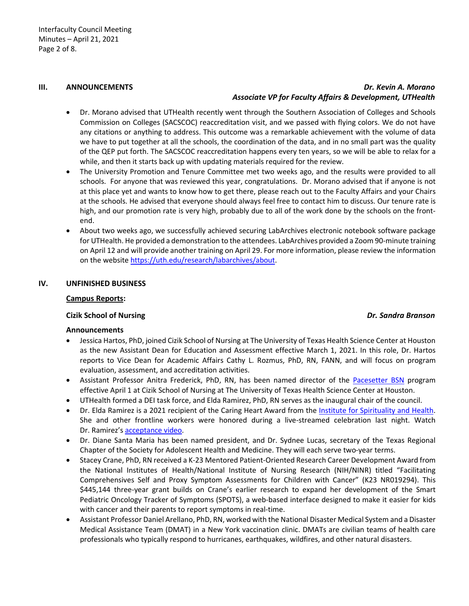## **III. ANNOUNCEMENTS** *Dr. Kevin A. Morano Associate VP for Faculty Affairs & Development, UTHealth*

- Dr. Morano advised that UTHealth recently went through the Southern Association of Colleges and Schools Commission on Colleges (SACSCOC) reaccreditation visit, and we passed with flying colors. We do not have any citations or anything to address. This outcome was a remarkable achievement with the volume of data we have to put together at all the schools, the coordination of the data, and in no small part was the quality of the QEP put forth. The SACSCOC reaccreditation happens every ten years, so we will be able to relax for a while, and then it starts back up with updating materials required for the review.
- The University Promotion and Tenure Committee met two weeks ago, and the results were provided to all schools. For anyone that was reviewed this year, congratulations. Dr. Morano advised that if anyone is not at this place yet and wants to know how to get there, please reach out to the Faculty Affairs and your Chairs at the schools. He advised that everyone should always feel free to contact him to discuss. Our tenure rate is high, and our promotion rate is very high, probably due to all of the work done by the schools on the frontend.
- About two weeks ago, we successfully achieved securing LabArchives electronic notebook software package for UTHealth. He provided a demonstration to the attendees. LabArchives provided a Zoom 90-minute training on April 12 and will provide another training on April 29. For more information, please review the information on the websit[e https://uth.edu/research/labarchives/about.](https://uth.edu/research/labarchives/about)

## **IV. UNFINISHED BUSINESS**

### **Campus Reports:**

### **Cizik School of Nursing** *Dr. Sandra Branson*

### **Announcements**

- Jessica Hartos, PhD, joined Cizik School of Nursing at The University of Texas Health Science Center at Houston as the new Assistant Dean for Education and Assessment effective March 1, 2021. In this role, Dr. Hartos reports to Vice Dean for Academic Affairs Cathy L. Rozmus, PhD, RN, FANN, and will focus on program evaluation, assessment, and accreditation activities.
- Assistant Professor Anitra Frederick, PhD, RN, has been named director of the [Pacesetter BSN](https://nursing.uth.edu/prospstudent/bsn/pace/) program effective April 1 at Cizik School of Nursing at The University of Texas Health Science Center at Houston.
- UTHealth formed a DEI task force, and Elda Ramirez, PhD, RN serves as the inaugural chair of the council.
- Dr. Elda Ramirez is a 2021 recipient of the Caring Heart Award from the [Institute for Spirituality and Health.](https://www.spiritualityandhealth.org/) She and other frontline workers were honored during a live-streamed celebration last night. Watch Dr. Ramirez's [acceptance video.](https://youtu.be/LL2zAm1Kni4)
- Dr. Diane Santa Maria has been named president, and Dr. Sydnee Lucas, secretary of the Texas Regional Chapter of the Society for Adolescent Health and Medicine. They will each serve two-year terms.
- Stacey Crane, PhD, RN received a K-23 Mentored Patient-Oriented Research Career Development Award from the National Institutes of Health/National Institute of Nursing Research (NIH/NINR) titled "Facilitating Comprehensives Self and Proxy Symptom Assessments for Children with Cancer" (K23 NR019294). This \$445,144 three-year grant builds on Crane's earlier research to expand her development of the Smart Pediatric Oncology Tracker of Symptoms (SPOTS), a web-based interface designed to make it easier for kids with cancer and their parents to report symptoms in real-time.
- Assistant Professor Daniel Arellano, PhD, RN, worked with the National Disaster Medical System and a Disaster Medical Assistance Team (DMAT) in a New York vaccination clinic. DMATs are civilian teams of health care professionals who typically respond to hurricanes, earthquakes, wildfires, and other natural disasters.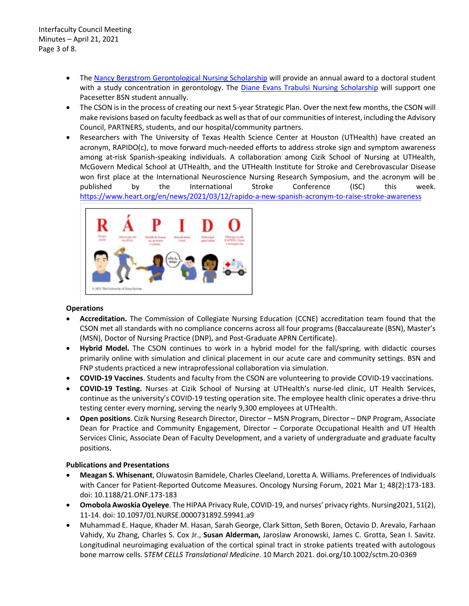- The [Nancy Bergstrom Gerontological Nursing Scholarship](https://urldefense.proofpoint.com/v2/url?u=http-3A__r20.rs6.net_tn.jsp-3Ff-3D0013x41Hq9klGAa0lgqC5C-5FzSVwnuQGb0cBO2t-5FDzFm53ITM-2Die83v7oMRzi2moMdUvK56rLvXVohS21LTzCgIgN5Henc5-2DXcd9Lg0QoqwgpRQ4HgRE7yMM874rtmZnNTQiU-2DJj-2Dn7gNlxym1M7lrdJqj4gIXbeqU62Yiww2U8WxoMz1MV9DXD7z4C9j0ZPSV8OnHGEuJAIo646GEBN80KYPagCtMBD59cH-26c-3D1NB2bmF9dFtTTOhLkQILQL1j9ES8q86gP0gi3w-5FYjcwYQfO2HNwD8w-3D-3D-26ch-3Da9dcwEvsObTAMgopjC27-5FhkcJJ6nT4syyNT0StPXXaq-5FqoM9UThLVQ-3D-3D&d=DwMFaQ&c=bKRySV-ouEg_AT-w2QWsTdd9X__KYh9Eq2fdmQDVZgw&r=zZGjQVk9U_XZS-iRzFSyMSb_Sx-zm-51NX6eDpWk0ds&m=BUE0pciINKb3CV5iXZowLSWC39CrJu8uMKDPjN01aYM&s=YPXWXzJ50jBpfCptiC03J1QmS6I5-Q31366bAlHK_cw&e=) will provide an annual award to a doctoral student with a study concentration in gerontology. The [Diane Evans Trabulsi Nursing Scholarship](https://urldefense.proofpoint.com/v2/url?u=http-3A__r20.rs6.net_tn.jsp-3Ff-3D0013x41Hq9klGAa0lgqC5C-5FzSVwnuQGb0cBO2t-5FDzFm53ITM-2Die83v7oMRzi2moMdUvTMIp-2DvT7HXg4Jd8Y-5FDpcO5C49jLPXMSqDZxBf-2DXzrUmJCjoY9z7TSPTQ-2DIFI4g-2DNRUh4pcqHGUaQ67dpcDhhAOT3m-2D0-2DhI02h9OKTw5je8hjLrOBrLQzWWtgj0xleYG5Om7R9MBM-2DiiL4RkmTV1JI1z4AKPLlI4M-26c-3D1NB2bmF9dFtTTOhLkQILQL1j9ES8q86gP0gi3w-5FYjcwYQfO2HNwD8w-3D-3D-26ch-3Da9dcwEvsObTAMgopjC27-5FhkcJJ6nT4syyNT0StPXXaq-5FqoM9UThLVQ-3D-3D&d=DwMFaQ&c=bKRySV-ouEg_AT-w2QWsTdd9X__KYh9Eq2fdmQDVZgw&r=zZGjQVk9U_XZS-iRzFSyMSb_Sx-zm-51NX6eDpWk0ds&m=BUE0pciINKb3CV5iXZowLSWC39CrJu8uMKDPjN01aYM&s=BKhHo54SghH8BJEVCeRupRpzpAu749woPos7Din4N_Q&e=) will support one Pacesetter BSN student annually.
- The CSON is in the process of creating our next 5-year Strategic Plan. Over the next few months, the CSON will make revisions based on faculty feedback as well as that of our communities of interest, including the Advisory Council, PARTNERS, students, and our hospital/community partners.
- Researchers with The University of Texas Health Science Center at Houston (UTHealth) have created an acronym, RAPIDO(c), to move forward much-needed efforts to address stroke sign and symptom awareness among at-risk Spanish-speaking individuals. A collaboration among Cizik School of Nursing at UTHealth, McGovern Medical School at UTHealth, and the UTHealth Institute for Stroke and Cerebrovascular Disease won first place at the International Neuroscience Nursing Research Symposium, and the acronym will be published by the International Stroke Conference (ISC) this week. <https://www.heart.org/en/news/2021/03/12/rapido-a-new-spanish-acronym-to-raise-stroke-awareness>



## **Operations**

- **Accreditation.** The Commission of Collegiate Nursing Education (CCNE) accreditation team found that the CSON met all standards with no compliance concerns across all four programs (Baccalaureate (BSN), Master's (MSN), Doctor of Nursing Practice (DNP), and Post-Graduate APRN Certificate).
- **Hybrid Model.** The CSON continues to work in a hybrid model for the fall/spring, with didactic courses primarily online with simulation and clinical placement in our acute care and community settings. BSN and FNP students practiced a new intraprofessional collaboration via simulation.
- **COVID-19 Vaccines**. Students and faculty from the CSON are volunteering to provide COVID-19 vaccinations.
- **COVID-19 Testing.** Nurses at Cizik School of Nursing at UTHealth's nurse-led clinic, UT Health Services, continue as the university's COVID-19 testing operation site. The employee health clinic operates a drive-thru testing center every morning, serving the nearly 9,300 employees at UTHealth.
- **Open positions**. Cizik Nursing Research Director, Director MSN Program, Director DNP Program, Associate Dean for Practice and Community Engagement, Director – Corporate Occupational Health and UT Health Services Clinic, Associate Dean of Faculty Development, and a variety of undergraduate and graduate faculty positions.

## **Publications and Presentations**

- **Meagan S. Whisenant**, Oluwatosin Bamidele, Charles Cleeland, Loretta A. Williams. Preferences of Individuals with Cancer for Patient-Reported Outcome Measures. Oncology Nursing Forum, 2021 Mar 1; 48(2):173-183. doi: 10.1188/21.ONF.173-183
- **Omobola Awoskia Oyeleye**. The HIPAA Privacy Rule, COVID-19, and nurses' privacy rights. Nursing2021, 51(2), 11-14. doi: 10.1097/01.NURSE.0000731892.59941.a9
- Muhammad E. Haque, Khader M. Hasan, Sarah George, Clark Sitton, Seth Boren, Octavio D. Arevalo, Farhaan Vahidy, Xu Zhang, Charles S. Cox Jr., **Susan Alderman,** Jaroslaw Aronowski, James C. Grotta, Sean I. Savitz. Longitudinal neuroimaging evaluation of the cortical spinal tract in stroke patients treated with autologous bone marrow cells. S*TEM CELLS Translational Medicine.* 10 March 2021. doi.org/10.1002/sctm.20-0369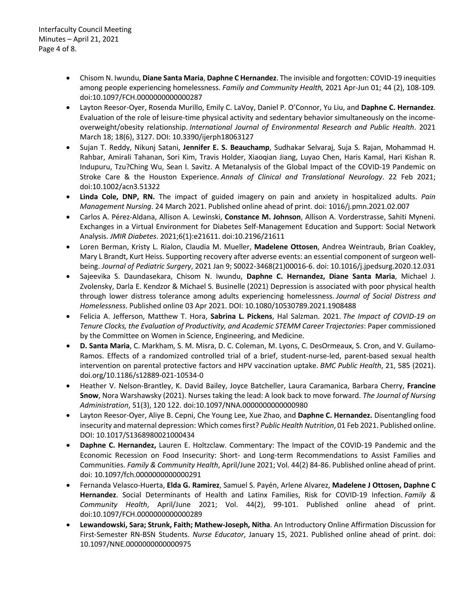- Chisom N. Iwundu, **Diane Santa Maria**, **Daphne C Hernandez**. The invisible and forgotten: COVID-19 inequities among people experiencing homelessness. *Family and Community Health,* 2021 Apr-Jun 01; 44 (2), 108-109*.* doi:10.1097/FCH.0000000000000287
- Layton Reesor-Oyer, Rosenda Murillo, Emily C. LaVoy, Daniel P. O'Connor, Yu Liu, and **Daphne C. Hernandez**. Evaluation of the role of leisure-time physical activity and sedentary behavior simultaneously on the incomeoverweight/obesity relationship. *International Journal of Environmental Research and Public Health*. 2021 March 18; 18(6), 3127. DOI: 10.3390/ijerph18063127
- Sujan T. Reddy, Nikunj Satani, **Jennifer E. S. Beauchamp**, Sudhakar Selvaraj, Suja S. Rajan, Mohammad H. Rahbar, Amirali Tahanan, Sori Kim, Travis Holder, Xiaoqian Jiang, Luyao Chen, Haris Kamal, Hari Kishan R. Indupuru, Tzu?Ching Wu, Sean I. Savitz. A Metanalysis of the Global Impact of the COVID-19 Pandemic on Stroke Care & the Houston Experience. *Annals of Clinical and Translational Neurology*. 22 Feb 2021; doi:10.1002/acn3.51322
- **Linda Cole, DNP, RN.** The impact of guided imagery on pain and anxiety in hospitalized adults. *Pain Management Nursing*. 24 March 2021. Published online ahead of print. doi: 1016/j.pmn.2021.02.007
- Carlos A. Pérez-Aldana, Allison A. Lewinski, **Constance M. Johnson**, Allison A. Vorderstrasse, Sahiti Myneni. Exchanges in a Virtual Environment for Diabetes Self-Management Education and Support: Social Network Analysis. *JMIR Diabetes*. 2021;6(1):e21611. doi:10.2196/21611
- Loren Berman, Kristy L. Rialon, Claudia M. Mueller, **Madelene Ottosen**, Andrea Weintraub, Brian Coakley, Mary L Brandt, Kurt Heiss. Supporting recovery after adverse events: an essential component of surgeon wellbeing. *Journal of Pediatric Surgery*, 2021 Jan 9; S0022-3468(21)00016-6. doi: 10.1016/j.jpedsurg.2020.12.031
- Sajeevika S. Daundasekara, Chisom N. Iwundu, **Daphne C. Hernandez, Diane Santa Maria**, Michael J. Zvolensky, Darla E. Kendzor & Michael S. Businelle (2021) Depression is associated with poor physical health through lower distress tolerance among adults experiencing homelessness. *Journal of Social Distress and Homelessness*. Published online 03 Apr 2021. DOI: 10.1080/10530789.2021.1908488
- Felicia A. Jefferson, Matthew T. Hora, **Sabrina L. Pickens**, Hal Salzman. 2021. *The Impact of COVID-19 on Tenure Clocks, the Evaluation of Productivity, and Academic STEMM Career Trajectories*: Paper commissioned by the Committee on Women in Science, Engineering, and Medicine.
- **D. Santa Maria**, C. Markham, S. M. Misra, D. C. Coleman, M. Lyons, C. DesOrmeaux, S. Cron, and V. Guilamo-Ramos. Effects of a randomized controlled trial of a brief, student-nurse-led, parent-based sexual health intervention on parental protective factors and HPV vaccination uptake. *BMC Public Health*, 21, 585 (2021). doi.org/10.1186/s12889-021-10534-0
- Heather V. Nelson-Brantley, K. David Bailey, Joyce Batcheller, Laura Caramanica, Barbara Cherry, **Francine Snow**, Nora Warshawsky (2021). Nurses taking the lead: A look back to move forward. *The Journal of Nursing Administration*, 51(3), 120 122. doi:10.1097/NNA.0000000000000980
- Layton Reesor-Oyer, Aliye B. Cepni, Che Young Lee, Xue Zhao, and **Daphne C. Hernandez.** Disentangling food insecurity and maternal depression: Which comes first? *Public Health Nutrition*, 01 Feb 2021. Published online. DOI: 10.1017/S1368980021000434
- **Daphne C. Hernandez,** Lauren E. Holtzclaw. Commentary: The Impact of the COVID-19 Pandemic and the Economic Recession on Food Insecurity: Short- and Long-term Recommendations to Assist Families and Communities. *Family & Community Health*, April/June 2021; Vol. 44(2) 84-86. Published online ahead of print. doi: 10.1097/fch.0000000000000291
- Fernanda Velasco-Huerta, **Elda G. Ramirez**, Samuel S. Payén, Arlene Alvarez, **Madelene J Ottosen, Daphne C Hernandez**. Social Determinants of Health and Latinx Families, Risk for COVID-19 Infection. *Family & Community Health*, April/June 2021; Vol. 44(2), 99-101. Published online ahead of print. doi:10.1097/FCH.0000000000000289
- **Lewandowski, Sara; Strunk, Faith; Mathew-Joseph, Nitha**. An Introductory Online Affirmation Discussion for First-Semester RN-BSN Students. *Nurse Educator*, January 15, 2021. Published online ahead of print. doi: 10.1097/NNE.0000000000000975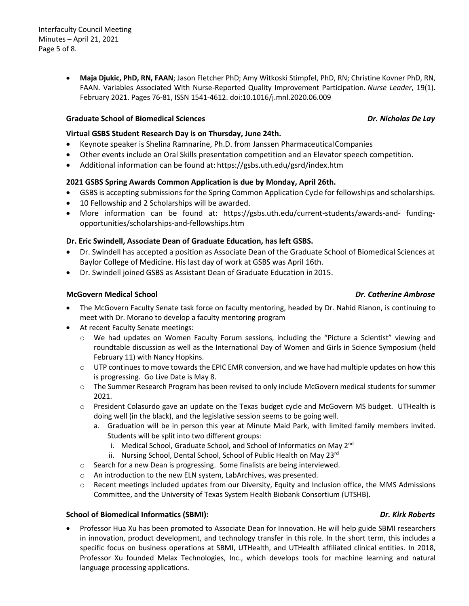• **Maja Djukic, PhD, RN, FAAN**; Jason Fletcher PhD; Amy Witkoski Stimpfel, PhD, RN; Christine Kovner PhD, RN, FAAN. Variables Associated With Nurse-Reported Quality Improvement Participation. *Nurse Leader*, 19(1). February 2021. Pages 76-81, ISSN 1541-4612. doi:10.1016/j.mnl.2020.06.009

## **Graduate School of Biomedical Sciences** *Dr. Nicholas De Lay*

## **Virtual GSBS Student Research Day is on Thursday, June 24th.**

- Keynote speaker is Shelina Ramnarine, Ph.D. from Janssen PharmaceuticalCompanies
- Other events include an Oral Skills presentation competition and an Elevator speech competition.
- Additional information can be found at: https://gsbs.uth.edu/gsrd/index.htm

## **2021 GSBS Spring Awards Common Application is due by Monday, April 26th.**

- GSBS is accepting submissions for the Spring Common Application Cycle for fellowships and scholarships.
- 10 Fellowship and 2 Scholarships will be awarded.
- More information can be found at: https://gsbs.uth.edu/current-students/awards-and- fundingopportunities/scholarships-and-fellowships.htm

## **Dr. Eric Swindell, Associate Dean of Graduate Education, has left GSBS.**

- Dr. Swindell has accepted a position as Associate Dean of the Graduate School of Biomedical Sciences at Baylor College of Medicine. His last day of work at GSBS was April 16th.
- Dr. Swindell joined GSBS as Assistant Dean of Graduate Education in 2015.

## **McGovern Medical School** *Dr. Catherine Ambrose*

- The McGovern Faculty Senate task force on faculty mentoring, headed by Dr. Nahid Rianon, is continuing to meet with Dr. Morano to develop a faculty mentoring program
- At recent Faculty Senate meetings:
	- o We had updates on Women Faculty Forum sessions, including the "Picture a Scientist" viewing and roundtable discussion as well as the International Day of Women and Girls in Science Symposium (held February 11) with Nancy Hopkins.
	- $\circ$  UTP continues to move towards the EPIC EMR conversion, and we have had multiple updates on how this is progressing. Go Live Date is May 8.
	- o The Summer Research Program has been revised to only include McGovern medical students for summer 2021.
	- o President Colasurdo gave an update on the Texas budget cycle and McGovern MS budget. UTHealth is doing well (in the black), and the legislative session seems to be going well.
		- a. Graduation will be in person this year at Minute Maid Park, with limited family members invited. Students will be split into two different groups:
			- i. Medical School, Graduate School, and School of Informatics on May 2<sup>nd</sup>
			- ii. Nursing School, Dental School, School of Public Health on May 23rd
	- o Search for a new Dean is progressing. Some finalists are being interviewed.
	- o An introduction to the new ELN system, LabArchives, was presented.
	- $\circ$  Recent meetings included updates from our Diversity, Equity and Inclusion office, the MMS Admissions Committee, and the University of Texas System Health Biobank Consortium (UTSHB).

### **School of Biomedical Informatics (SBMI):** *Dr. Kirk Roberts*

• Professor Hua Xu has been promoted to Associate Dean for Innovation. He will help guide SBMI researchers in innovation, product development, and technology transfer in this role. In the short term, this includes a specific focus on business operations at SBMI, UTHealth, and UTHealth affiliated clinical entities. In 2018, Professor Xu founded Melax Technologies, Inc., which develops tools for machine learning and natural language processing applications.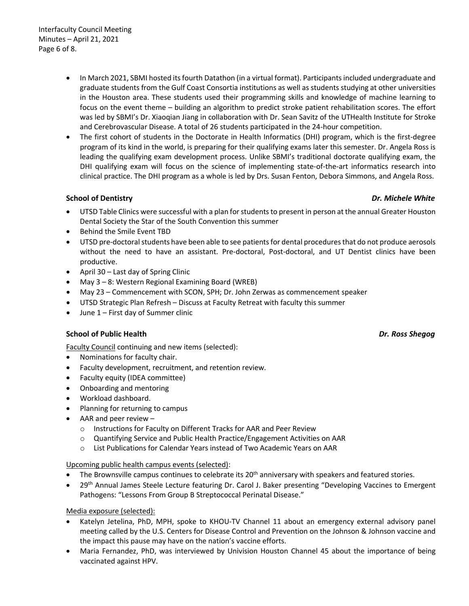- In March 2021, SBMI hosted its fourth Datathon (in a virtual format). Participants included undergraduate and graduate students from the Gulf Coast Consortia institutions as well as students studying at other universities in the Houston area. These students used their programming skills and knowledge of machine learning to focus on the event theme – building an algorithm to predict stroke patient rehabilitation scores. The effort was led by SBMI's Dr. Xiaoqian Jiang in collaboration with Dr. Sean Savitz of the UTHealth Institute for Stroke and Cerebrovascular Disease. A total of 26 students participated in the 24-hour competition.
- The first cohort of students in the Doctorate in Health Informatics (DHI) program, which is the first-degree program of its kind in the world, is preparing for their qualifying exams later this semester. Dr. Angela Ross is leading the qualifying exam development process. Unlike SBMI's traditional doctorate qualifying exam, the DHI qualifying exam will focus on the science of implementing state-of-the-art informatics research into clinical practice. The DHI program as a whole is led by Drs. Susan Fenton, Debora Simmons, and Angela Ross.

# **School of Dentistry** *Dr. Michele White*

- UTSD Table Clinics were successful with a plan for students to present in person at the annual Greater Houston Dental Society the Star of the South Convention this summer
- Behind the Smile Event TBD
- UTSD pre-doctoral students have been able to see patients for dental procedures that do not produce aerosols without the need to have an assistant. Pre-doctoral, Post-doctoral, and UT Dentist clinics have been productive.
- April 30 Last day of Spring Clinic
- May 3 8: Western Regional Examining Board (WREB)
- May 23 Commencement with SCON, SPH; Dr. John Zerwas as commencement speaker
- UTSD Strategic Plan Refresh Discuss at Faculty Retreat with faculty this summer
- June 1 First day of Summer clinic

## **School of Public Health** *Dr. Ross Shegog*

Faculty Council continuing and new items (selected):

- Nominations for faculty chair.
- Faculty development, recruitment, and retention review.
- Faculty equity (IDEA committee)
- Onboarding and mentoring
- Workload dashboard.
- Planning for returning to campus
- AAR and peer review  $$ 
	- o Instructions for Faculty on Different Tracks for AAR and Peer Review
	- o Quantifying Service and Public Health Practice/Engagement Activities on AAR
	- o List Publications for Calendar Years instead of Two Academic Years on AAR

## Upcoming public health campus events (selected):

- The Brownsville campus continues to celebrate its  $20<sup>th</sup>$  anniversary with speakers and featured stories.
- 29<sup>th</sup> Annual James Steele Lecture featuring Dr. Carol J. Baker presenting "Developing Vaccines to Emergent Pathogens: "Lessons From Group B Streptococcal Perinatal Disease."

Media exposure (selected):

- Katelyn Jetelina, PhD, MPH, spoke to KHOU-TV Channel 11 about an emergency external advisory panel meeting called by the U.S. Centers for Disease Control and Prevention on the Johnson & Johnson vaccine and the impact this pause may have on the nation's vaccine efforts.
- Maria Fernandez, PhD, was interviewed by Univision Houston Channel 45 about the importance of being vaccinated against HPV.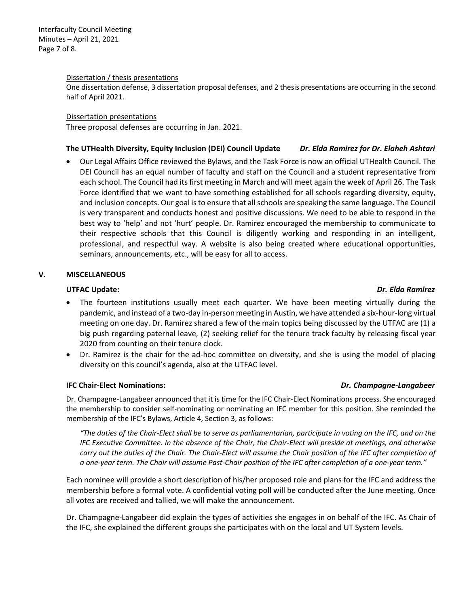Interfaculty Council Meeting Minutes – April 21, 2021 Page 7 of 8.

### Dissertation / thesis presentations

One dissertation defense, 3 dissertation proposal defenses, and 2 thesis presentations are occurring in the second half of April 2021.

Dissertation presentations

Three proposal defenses are occurring in Jan. 2021.

## **The UTHealth Diversity, Equity Inclusion (DEI) Council Update** *Dr. Elda Ramirez for Dr. Elaheh Ashtari*

• Our Legal Affairs Office reviewed the Bylaws, and the Task Force is now an official UTHealth Council. The DEI Council has an equal number of faculty and staff on the Council and a student representative from each school. The Council had its first meeting in March and will meet again the week of April 26. The Task Force identified that we want to have something established for all schools regarding diversity, equity, and inclusion concepts. Our goal is to ensure that all schools are speaking the same language. The Council is very transparent and conducts honest and positive discussions. We need to be able to respond in the best way to 'help' and not 'hurt' people. Dr. Ramirez encouraged the membership to communicate to their respective schools that this Council is diligently working and responding in an intelligent, professional, and respectful way. A website is also being created where educational opportunities, seminars, announcements, etc., will be easy for all to access.

### **V. MISCELLANEOUS**

### **UTFAC Update:** *Dr. Elda Ramirez*

# The fourteen institutions usually meet each quarter. We have been meeting virtually during the pandemic, and instead of a two-day in-person meeting in Austin, we have attended a six-hour-long virtual meeting on one day. Dr. Ramirez shared a few of the main topics being discussed by the UTFAC are (1) a big push regarding paternal leave, (2) seeking relief for the tenure track faculty by releasing fiscal year 2020 from counting on their tenure clock.

• Dr. Ramirez is the chair for the ad-hoc committee on diversity, and she is using the model of placing diversity on this council's agenda, also at the UTFAC level.

### **IFC Chair-Elect Nominations:** *Dr. Champagne-Langabeer*

Dr. Champagne-Langabeer announced that it is time for the IFC Chair-Elect Nominations process. She encouraged the membership to consider self-nominating or nominating an IFC member for this position. She reminded the membership of the IFC's Bylaws, Article 4, Section 3, as follows:

*"The duties of the Chair-Elect shall be to serve as parliamentarian, participate in voting on the IFC, and on the IFC Executive Committee. In the absence of the Chair, the Chair-Elect will preside at meetings, and otherwise carry out the duties of the Chair. The Chair-Elect will assume the Chair position of the IFC after completion of a one-year term. The Chair will assume Past-Chair position of the IFC after completion of a one-year term."*

Each nominee will provide a short description of his/her proposed role and plans for the IFC and address the membership before a formal vote. A confidential voting poll will be conducted after the June meeting. Once all votes are received and tallied, we will make the announcement.

Dr. Champagne-Langabeer did explain the types of activities she engages in on behalf of the IFC. As Chair of the IFC, she explained the different groups she participates with on the local and UT System levels.